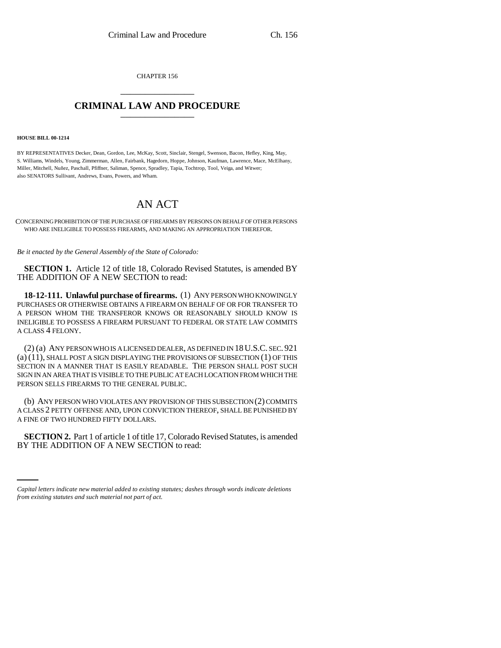CHAPTER 156 \_\_\_\_\_\_\_\_\_\_\_\_\_\_\_

## **CRIMINAL LAW AND PROCEDURE** \_\_\_\_\_\_\_\_\_\_\_\_\_\_\_

## **HOUSE BILL 00-1214**

BY REPRESENTATIVES Decker, Dean, Gordon, Lee, McKay, Scott, Sinclair, Stengel, Swenson, Bacon, Hefley, King, May, S. Williams, Windels, Young, Zimmerman, Allen, Fairbank, Hagedorn, Hoppe, Johnson, Kaufman, Lawrence, Mace, McElhany, Miller, Mitchell, Nuñez, Paschall, Pfiffner, Saliman, Spence, Spradley, Tapia, Tochtrop, Tool, Veiga, and Witwer; also SENATORS Sullivant, Andrews, Evans, Powers, and Wham.

## AN ACT

CONCERNING PROHIBITION OF THE PURCHASE OF FIREARMS BY PERSONS ON BEHALF OF OTHER PERSONS WHO ARE INELIGIBLE TO POSSESS FIREARMS, AND MAKING AN APPROPRIATION THEREFOR.

*Be it enacted by the General Assembly of the State of Colorado:*

**SECTION 1.** Article 12 of title 18, Colorado Revised Statutes, is amended BY THE ADDITION OF A NEW SECTION to read:

**18-12-111. Unlawful purchase of firearms.** (1) ANY PERSON WHO KNOWINGLY PURCHASES OR OTHERWISE OBTAINS A FIREARM ON BEHALF OF OR FOR TRANSFER TO A PERSON WHOM THE TRANSFEROR KNOWS OR REASONABLY SHOULD KNOW IS INELIGIBLE TO POSSESS A FIREARM PURSUANT TO FEDERAL OR STATE LAW COMMITS A CLASS 4 FELONY.

(2) (a) ANY PERSON WHO IS A LICENSED DEALER, AS DEFINED IN 18U.S.C. SEC. 921 (a) (11), SHALL POST A SIGN DISPLAYING THE PROVISIONS OF SUBSECTION (1) OF THIS SECTION IN A MANNER THAT IS EASILY READABLE. THE PERSON SHALL POST SUCH SIGN IN AN AREA THAT IS VISIBLE TO THE PUBLIC AT EACH LOCATION FROM WHICH THE PERSON SELLS FIREARMS TO THE GENERAL PUBLIC.

(b) ANY PERSON WHO VIOLATES ANY PROVISION OF THIS SUBSECTION (2) COMMITS A CLASS 2 PETTY OFFENSE AND, UPON CONVICTION THEREOF, SHALL BE PUNISHED BY A FINE OF TWO HUNDRED FIFTY DOLLARS.

 **SECTION 2.** Part 1 of article 1 of title 17, Colorado Revised Statutes, is amended BY THE ADDITION OF A NEW SECTION to read:

*Capital letters indicate new material added to existing statutes; dashes through words indicate deletions from existing statutes and such material not part of act.*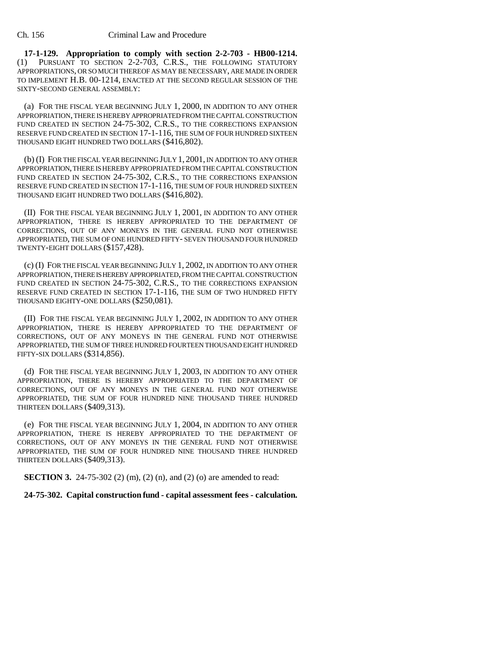**17-1-129. Appropriation to comply with section 2-2-703 - HB00-1214.** (1) PURSUANT TO SECTION 2-2-703, C.R.S., THE FOLLOWING STATUTORY APPROPRIATIONS, OR SO MUCH THEREOF AS MAY BE NECESSARY, ARE MADE IN ORDER TO IMPLEMENT H.B. 00-1214, ENACTED AT THE SECOND REGULAR SESSION OF THE SIXTY-SECOND GENERAL ASSEMBLY:

(a) FOR THE FISCAL YEAR BEGINNING JULY 1, 2000, IN ADDITION TO ANY OTHER APPROPRIATION, THERE IS HEREBY APPROPRIATED FROM THE CAPITAL CONSTRUCTION FUND CREATED IN SECTION 24-75-302, C.R.S., TO THE CORRECTIONS EXPANSION RESERVE FUND CREATED IN SECTION 17-1-116, THE SUM OF FOUR HUNDRED SIXTEEN THOUSAND EIGHT HUNDRED TWO DOLLARS (\$416,802).

(b) (I) FOR THE FISCAL YEAR BEGINNING JULY 1, 2001, IN ADDITION TO ANY OTHER APPROPRIATION, THERE IS HEREBY APPROPRIATED FROM THE CAPITAL CONSTRUCTION FUND CREATED IN SECTION 24-75-302, C.R.S., TO THE CORRECTIONS EXPANSION RESERVE FUND CREATED IN SECTION 17-1-116, THE SUM OF FOUR HUNDRED SIXTEEN THOUSAND EIGHT HUNDRED TWO DOLLARS (\$416,802).

(II) FOR THE FISCAL YEAR BEGINNING JULY 1, 2001, IN ADDITION TO ANY OTHER APPROPRIATION, THERE IS HEREBY APPROPRIATED TO THE DEPARTMENT OF CORRECTIONS, OUT OF ANY MONEYS IN THE GENERAL FUND NOT OTHERWISE APPROPRIATED, THE SUM OF ONE HUNDRED FIFTY- SEVEN THOUSAND FOUR HUNDRED TWENTY-EIGHT DOLLARS (\$157,428).

(c) (I) FOR THE FISCAL YEAR BEGINNING JULY 1, 2002, IN ADDITION TO ANY OTHER APPROPRIATION, THERE IS HEREBY APPROPRIATED, FROM THE CAPITAL CONSTRUCTION FUND CREATED IN SECTION 24-75-302, C.R.S., TO THE CORRECTIONS EXPANSION RESERVE FUND CREATED IN SECTION 17-1-116, THE SUM OF TWO HUNDRED FIFTY THOUSAND EIGHTY-ONE DOLLARS (\$250,081).

(II) FOR THE FISCAL YEAR BEGINNING JULY 1, 2002, IN ADDITION TO ANY OTHER APPROPRIATION, THERE IS HEREBY APPROPRIATED TO THE DEPARTMENT OF CORRECTIONS, OUT OF ANY MONEYS IN THE GENERAL FUND NOT OTHERWISE APPROPRIATED, THE SUM OF THREE HUNDRED FOURTEEN THOUSAND EIGHT HUNDRED FIFTY-SIX DOLLARS (\$314,856).

(d) FOR THE FISCAL YEAR BEGINNING JULY 1, 2003, IN ADDITION TO ANY OTHER APPROPRIATION, THERE IS HEREBY APPROPRIATED TO THE DEPARTMENT OF CORRECTIONS, OUT OF ANY MONEYS IN THE GENERAL FUND NOT OTHERWISE APPROPRIATED, THE SUM OF FOUR HUNDRED NINE THOUSAND THREE HUNDRED THIRTEEN DOLLARS (\$409,313).

(e) FOR THE FISCAL YEAR BEGINNING JULY 1, 2004, IN ADDITION TO ANY OTHER APPROPRIATION, THERE IS HEREBY APPROPRIATED TO THE DEPARTMENT OF CORRECTIONS, OUT OF ANY MONEYS IN THE GENERAL FUND NOT OTHERWISE APPROPRIATED, THE SUM OF FOUR HUNDRED NINE THOUSAND THREE HUNDRED THIRTEEN DOLLARS (\$409,313).

**SECTION 3.** 24-75-302 (2) (m), (2) (n), and (2) (o) are amended to read:

**24-75-302. Capital construction fund - capital assessment fees - calculation.**